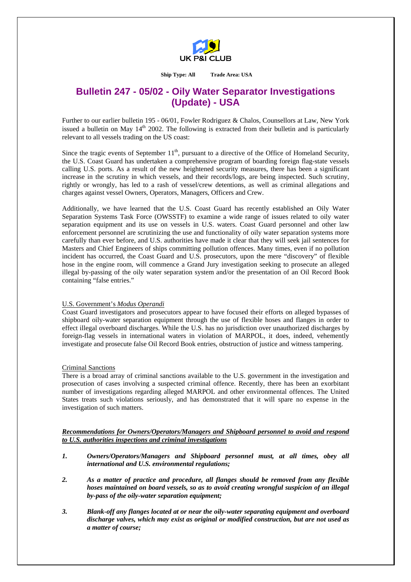

#### **Ship Type: All Trade Area: USA**

# **Bulletin 247 - 05/02 - Oily Water Separator Investigations (Update) - USA**

Further to our earlier bulletin 195 - 06/01, Fowler Rodriguez & Chalos, Counsellors at Law, New York issued a bulletin on May  $14<sup>th</sup>$  2002. The following is extracted from their bulletin and is particularly relevant to all vessels trading on the US coast:

Since the tragic events of September  $11<sup>th</sup>$ , pursuant to a directive of the Office of Homeland Security, the U.S. Coast Guard has undertaken a comprehensive program of boarding foreign flag-state vessels calling U.S. ports. As a result of the new heightened security measures, there has been a significant increase in the scrutiny in which vessels, and their records/logs, are being inspected. Such scrutiny, rightly or wrongly, has led to a rash of vessel/crew detentions, as well as criminal allegations and charges against vessel Owners, Operators, Managers, Officers and Crew.

Additionally, we have learned that the U.S. Coast Guard has recently established an Oily Water Separation Systems Task Force (OWSSTF) to examine a wide range of issues related to oily water separation equipment and its use on vessels in U.S. waters. Coast Guard personnel and other law enforcement personnel are scrutinizing the use and functionality of oily water separation systems more carefully than ever before, and U.S. authorities have made it clear that they will seek jail sentences for Masters and Chief Engineers of ships committing pollution offences. Many times, even if no pollution incident has occurred, the Coast Guard and U.S. prosecutors, upon the mere "discovery" of flexible hose in the engine room, will commence a Grand Jury investigation seeking to prosecute an alleged illegal by-passing of the oily water separation system and/or the presentation of an Oil Record Book containing "false entries."

## U.S. Government's *Modus Operandi*

Coast Guard investigators and prosecutors appear to have focused their efforts on alleged bypasses of shipboard oily-water separation equipment through the use of flexible hoses and flanges in order to effect illegal overboard discharges. While the U.S. has no jurisdiction over unauthorized discharges by foreign-flag vessels in international waters in violation of MARPOL, it does, indeed, vehemently investigate and prosecute false Oil Record Book entries, obstruction of justice and witness tampering.

#### Criminal Sanctions

There is a broad array of criminal sanctions available to the U.S. government in the investigation and prosecution of cases involving a suspected criminal offence. Recently, there has been an exorbitant number of investigations regarding alleged MARPOL and other environmental offences. The United States treats such violations seriously, and has demonstrated that it will spare no expense in the investigation of such matters.

## *Recommendations for Owners/Operators/Managers and Shipboard personnel to avoid and respond to U.S. authorities inspections and criminal investigations*

- *1. Owners/Operators/Managers and Shipboard personnel must, at all times, obey all international and U.S. environmental regulations;*
- *2. As a matter of practice and procedure, all flanges should be removed from any flexible hoses maintained on board vessels, so as to avoid creating wrongful suspicion of an illegal by-pass of the oily-water separation equipment;*
- *3. Blank-off any flanges located at or near the oily-water separating equipment and overboard discharge valves, which may exist as original or modified construction, but are not used as a matter of course;*